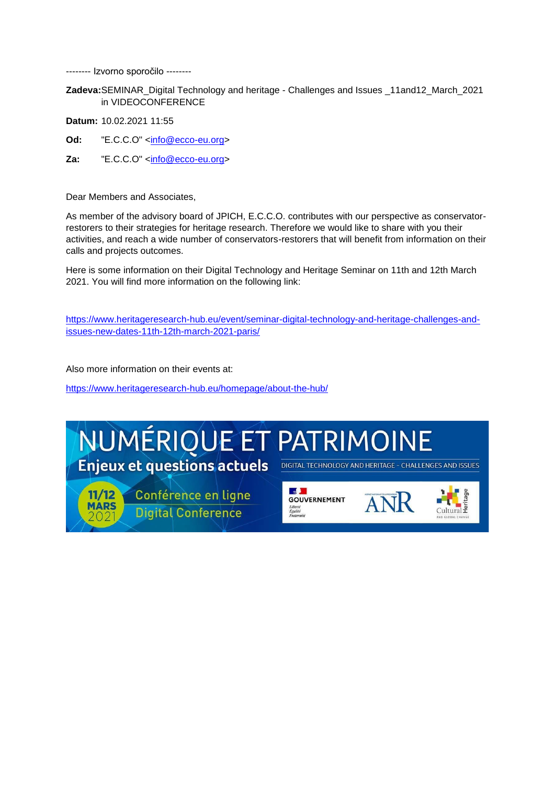-------- Izvorno sporočilo --------

**Zadeva:**SEMINAR\_Digital Technology and heritage - Challenges and Issues \_11and12\_March\_2021 in VIDEOCONFERENCE

**Datum:** 10.02.2021 11:55

- **Od:** "E.C.C.O" [<info@ecco-eu.org>](mailto:info@ecco-eu.org)
- **Za:** "E.C.C.O" [<info@ecco-eu.org>](mailto:info@ecco-eu.org)

Dear Members and Associates,

As member of the advisory board of JPICH, E.C.C.O. contributes with our perspective as conservatorrestorers to their strategies for heritage research. Therefore we would like to share with you their activities, and reach a wide number of conservators-restorers that will benefit from information on their calls and projects outcomes.

Here is some information on their Digital Technology and Heritage Seminar on 11th and 12th March 2021. You will find more information on the following link:

[https://www.heritageresearch-hub.eu/event/seminar-digital-technology-and-heritage-challenges-and](https://www.heritageresearch-hub.eu/event/seminar-digital-technology-and-heritage-challenges-and-issues-new-dates-11th-12th-march-2021-paris/)[issues-new-dates-11th-12th-march-2021-paris/](https://www.heritageresearch-hub.eu/event/seminar-digital-technology-and-heritage-challenges-and-issues-new-dates-11th-12th-march-2021-paris/)

Also more information on their events at:

<https://www.heritageresearch-hub.eu/homepage/about-the-hub/>